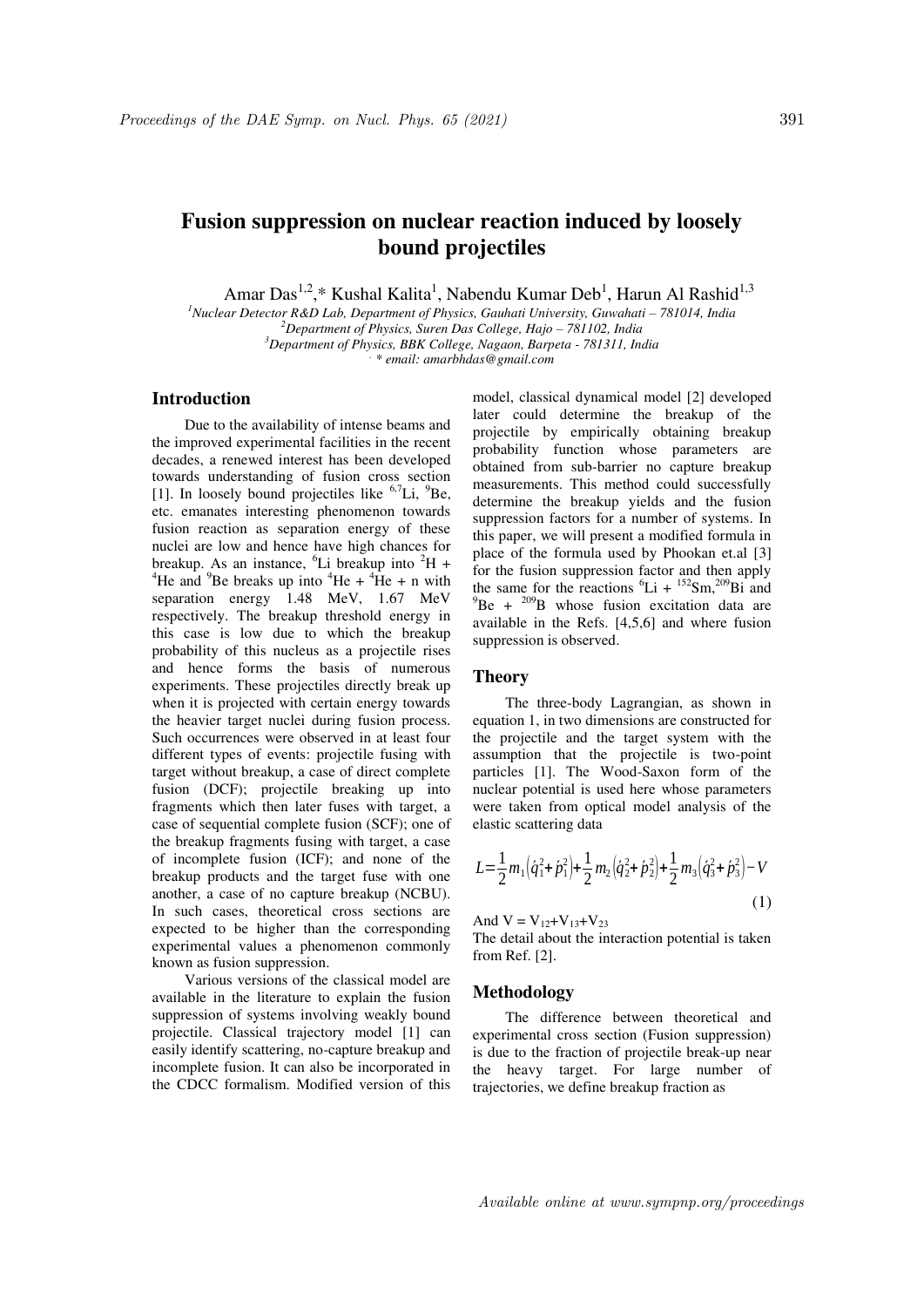# **Fusion suppression on nuclear reaction induced by loosely bound projectiles**

Amar Das<sup>1,2</sup>,\* Kushal Kalita<sup>1</sup>, Nabendu Kumar Deb<sup>1</sup>, Harun Al Rashid<sup>1,3</sup>

<sup>1</sup>*Nuclear Detector R&D Lab, Department of Physics, Gauhati University, Guwahati - 781014, India* <sup>2</sup>Department of Physics, Suren Das College, Hajo – 781102, India *<sup>3</sup>Department of Physics, BBK College, Nagaon, Barpeta - 781311, India* 

*. \* email: amarbhdas@gmail.com* 

## **Introduction**

Due to the availability of intense beams and the improved experimental facilities in the recent decades, a renewed interest has been developed towards understanding of fusion cross section [1]. In loosely bound projectiles like <sup>6,7</sup>Li, <sup>9</sup>Be, etc. emanates interesting phenomenon towards fusion reaction as separation energy of these nuclei are low and hence have high chances for breakup. As an instance,  ${}^{6}$ Li breakup into  ${}^{2}$ H + <sup>4</sup>He and <sup>9</sup>Be breaks up into <sup>4</sup>He + <sup>4</sup>He + n with separation energy 1.48 MeV, 1.67 MeV respectively. The breakup threshold energy in this case is low due to which the breakup probability of this nucleus as a projectile rises and hence forms the basis of numerous experiments. These projectiles directly break up when it is projected with certain energy towards the heavier target nuclei during fusion process. Such occurrences were observed in at least four different types of events: projectile fusing with target without breakup, a case of direct complete fusion (DCF); projectile breaking up into fragments which then later fuses with target, a case of sequential complete fusion (SCF); one of the breakup fragments fusing with target, a case of incomplete fusion (ICF); and none of the breakup products and the target fuse with one another, a case of no capture breakup (NCBU). In such cases, theoretical cross sections are expected to be higher than the corresponding experimental values a phenomenon commonly known as fusion suppression.

Various versions of the classical model are available in the literature to explain the fusion suppression of systems involving weakly bound projectile. Classical trajectory model [1] can easily identify scattering, no-capture breakup and incomplete fusion. It can also be incorporated in the CDCC formalism. Modified version of this model, classical dynamical model [2] developed later could determine the breakup of the projectile by empirically obtaining breakup probability function whose parameters are obtained from sub-barrier no capture breakup measurements. This method could successfully determine the breakup yields and the fusion suppression factors for a number of systems. In this paper, we will present a modified formula in place of the formula used by Phookan et.al [3] for the fusion suppression factor and then apply the same for the reactions  ${}^{6}Li + {}^{152}Sm$ <sup>209</sup>Bi and  $^{9}$ Be +  $^{209}$ B whose fusion excitation data are available in the Refs. [4,5,6] and where fusion suppression is observed.

## **Theory**

The three-body Lagrangian, as shown in equation 1, in two dimensions are constructed for the projectile and the target system with the assumption that the projectile is two-point particles [1]. The Wood-Saxon form of the nuclear potential is used here whose parameters were taken from optical model analysis of the elastic scattering data

$$
L = \frac{1}{2}m_1(\dot{q}_1^2 + \dot{p}_1^2) + \frac{1}{2}m_2(\dot{q}_2^2 + \dot{p}_2^2) + \frac{1}{2}m_3(\dot{q}_3^2 + \dot{p}_3^2) - V
$$
\n(1)

And  $V = V_{12} + V_{13} + V_{23}$ 

The detail about the interaction potential is taken from Ref. [2].

### **Methodology**

The difference between theoretical and experimental cross section (Fusion suppression) is due to the fraction of projectile break-up near the heavy target. For large number of trajectories, we define breakup fraction as